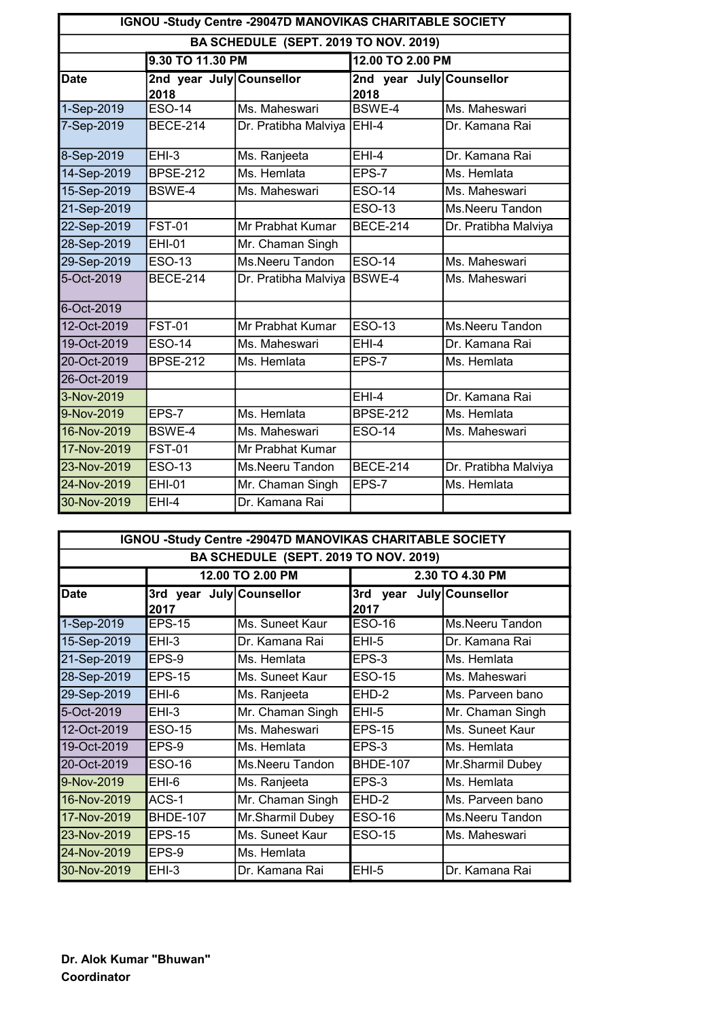| IGNOU -Study Centre -29047D MANOVIKAS CHARITABLE SOCIETY |                                  |                      |                                  |                      |
|----------------------------------------------------------|----------------------------------|----------------------|----------------------------------|----------------------|
| BA SCHEDULE (SEPT. 2019 TO NOV. 2019)                    |                                  |                      |                                  |                      |
|                                                          | 9.30 TO 11.30 PM                 |                      | 12.00 TO 2.00 PM                 |                      |
| <b>Date</b>                                              | 2nd year July Counsellor<br>2018 |                      | 2nd year July Counsellor<br>2018 |                      |
| 1-Sep-2019                                               | <b>ESO-14</b>                    | Ms. Maheswari        | BSWE-4                           | Ms. Maheswari        |
| 7-Sep-2019                                               | <b>BECE-214</b>                  | Dr. Pratibha Malviya | $EHI-4$                          | Dr. Kamana Rai       |
| 8-Sep-2019                                               | $EHI-3$                          | Ms. Ranjeeta         | $EHI-4$                          | Dr. Kamana Rai       |
| 14-Sep-2019                                              | <b>BPSE-212</b>                  | Ms. Hemlata          | EPS-7                            | Ms. Hemlata          |
| 15-Sep-2019                                              | <b>BSWE-4</b>                    | Ms. Maheswari        | $\overline{ESO}$ -14             | Ms. Maheswari        |
| 21-Sep-2019                                              |                                  |                      | <b>ESO-13</b>                    | Ms.Neeru Tandon      |
| 22-Sep-2019                                              | <b>FST-01</b>                    | Mr Prabhat Kumar     | <b>BECE-214</b>                  | Dr. Pratibha Malviya |
| 28-Sep-2019                                              | <b>EHI-01</b>                    | Mr. Chaman Singh     |                                  |                      |
| 29-Sep-2019                                              | <b>ESO-13</b>                    | Ms.Neeru Tandon      | <b>ESO-14</b>                    | Ms. Maheswari        |
| 5-Oct-2019                                               | <b>BECE-214</b>                  | Dr. Pratibha Malviya | <b>BSWE-4</b>                    | Ms. Maheswari        |
| 6-Oct-2019                                               |                                  |                      |                                  |                      |
| 12-Oct-2019                                              | <b>FST-01</b>                    | Mr Prabhat Kumar     | <b>ESO-13</b>                    | Ms.Neeru Tandon      |
| 19-Oct-2019                                              | <b>ESO-14</b>                    | Ms. Maheswari        | $EHI-4$                          | Dr. Kamana Rai       |
| 20-Oct-2019                                              | <b>BPSE-212</b>                  | Ms. Hemlata          | EPS-7                            | Ms. Hemlata          |
| 26-Oct-2019                                              |                                  |                      |                                  |                      |
| 3-Nov-2019                                               |                                  |                      | $EHI-4$                          | Dr. Kamana Rai       |
| 9-Nov-2019                                               | $EPS-7$                          | Ms. Hemlata          | <b>BPSE-212</b>                  | Ms. Hemlata          |
| 16-Nov-2019                                              | <b>BSWE-4</b>                    | Ms. Maheswari        | <b>ESO-14</b>                    | Ms. Maheswari        |
| 17-Nov-2019                                              | <b>FST-01</b>                    | Mr Prabhat Kumar     |                                  |                      |
| 23-Nov-2019                                              | <b>ESO-13</b>                    | Ms.Neeru Tandon      | <b>BECE-214</b>                  | Dr. Pratibha Malviya |
| 24-Nov-2019                                              | <b>EHI-01</b>                    | Mr. Chaman Singh     | EPS-7                            | Ms. Hemlata          |
| 30-Nov-2019                                              | $EHI-4$                          | Dr. Kamana Rai       |                                  |                      |

| IGNOU -Study Centre -29047D MANOVIKAS CHARITABLE SOCIETY |                                  |                  |                  |                  |
|----------------------------------------------------------|----------------------------------|------------------|------------------|------------------|
| BA SCHEDULE (SEPT. 2019 TO NOV. 2019)                    |                                  |                  |                  |                  |
|                                                          | 12.00 TO 2.00 PM                 |                  | 2.30 TO 4.30 PM  |                  |
| <b>Date</b>                                              | 3rd year July Counsellor<br>2017 |                  | 3rd year<br>2017 | July Counsellor  |
| 1-Sep-2019                                               | <b>EPS-15</b>                    | Ms. Suneet Kaur  | ESO-16           | Ms.Neeru Tandon  |
| 15-Sep-2019                                              | $EHI-3$                          | Dr. Kamana Rai   | $EHI-5$          | Dr. Kamana Rai   |
| 21-Sep-2019                                              | EPS-9                            | Ms. Hemlata      | EPS-3            | Ms. Hemlata      |
| 28-Sep-2019                                              | <b>EPS-15</b>                    | Ms. Suneet Kaur  | <b>ESO-15</b>    | Ms. Maheswari    |
| 29-Sep-2019                                              | $EHI-6$                          | Ms. Ranjeeta     | EHD-2            | Ms. Parveen bano |
| 5-Oct-2019                                               | $EHI-3$                          | Mr. Chaman Singh | $EHI-5$          | Mr. Chaman Singh |
| 12-Oct-2019                                              | <b>ESO-15</b>                    | Ms. Maheswari    | <b>EPS-15</b>    | Ms. Suneet Kaur  |
| 19-Oct-2019                                              | EPS-9                            | Ms. Hemlata      | EPS-3            | Ms. Hemlata      |
| 20-Oct-2019                                              | <b>ESO-16</b>                    | Ms.Neeru Tandon  | <b>BHDE-107</b>  | Mr.Sharmil Dubey |
| 9-Nov-2019                                               | EHI-6                            | Ms. Ranjeeta     | EPS-3            | Ms. Hemlata      |
| 16-Nov-2019                                              | ACS-1                            | Mr. Chaman Singh | EHD-2            | Ms. Parveen bano |
| 17-Nov-2019                                              | <b>BHDE-107</b>                  | Mr.Sharmil Dubey | <b>ESO-16</b>    | Ms.Neeru Tandon  |
| 23-Nov-2019                                              | <b>EPS-15</b>                    | Ms. Suneet Kaur  | <b>ESO-15</b>    | Ms. Maheswari    |
| 24-Nov-2019                                              | EPS-9                            | Ms. Hemlata      |                  |                  |
| 30-Nov-2019                                              | $EHI-3$                          | Dr. Kamana Rai   | $EHI-5$          | Dr. Kamana Rai   |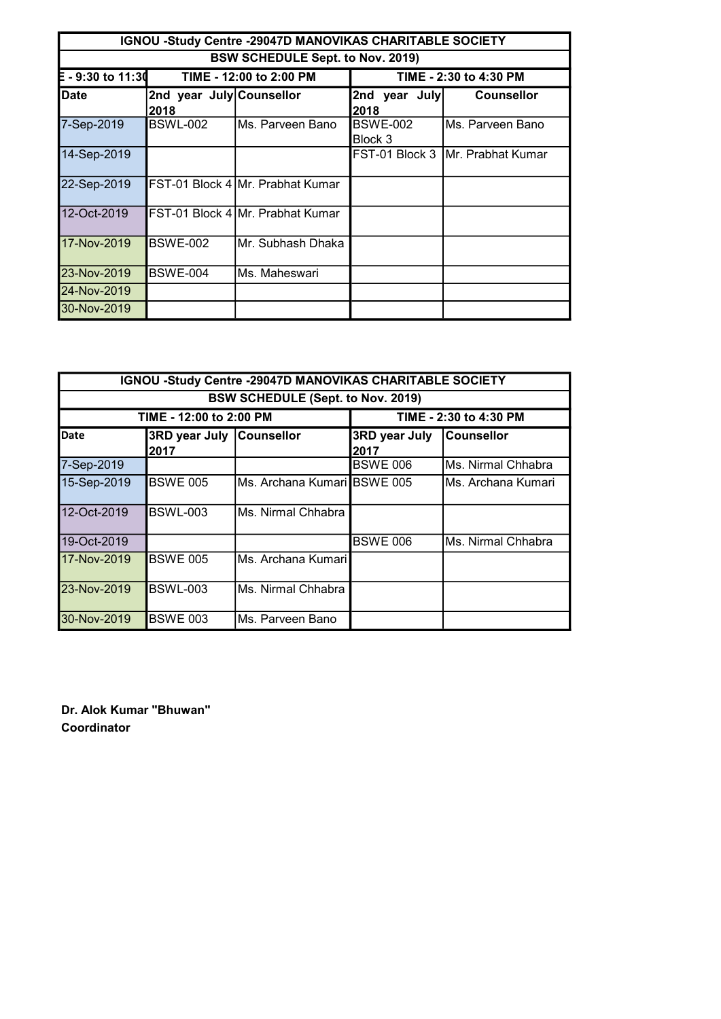| IGNOU -Study Centre -29047D MANOVIKAS CHARITABLE SOCIETY |                                         |                                    |                       |                                   |  |
|----------------------------------------------------------|-----------------------------------------|------------------------------------|-----------------------|-----------------------------------|--|
|                                                          | <b>BSW SCHEDULE Sept. to Nov. 2019)</b> |                                    |                       |                                   |  |
| $-9:30$ to 11:30<br>TIME - 12:00 to 2:00 PM              |                                         | TIME - 2:30 to 4:30 PM             |                       |                                   |  |
| <b>Date</b>                                              | 2nd year July Counsellor<br>2018        |                                    | 2nd year July<br>2018 | <b>Counsellor</b>                 |  |
| 7-Sep-2019                                               | <b>BSWL-002</b>                         | IMs. Parveen Bano                  | BSWE-002<br>Block 3   | IMs. Parveen Bano                 |  |
| 14-Sep-2019                                              |                                         |                                    |                       | FST-01 Block 3  Mr. Prabhat Kumar |  |
| 22-Sep-2019                                              |                                         | IFST-01 Block 4 IMr. Prabhat Kumar |                       |                                   |  |
| 12-Oct-2019                                              |                                         | FST-01 Block 4 Mr. Prabhat Kumar   |                       |                                   |  |
| 17-Nov-2019                                              | <b>BSWE-002</b>                         | Mr. Subhash Dhaka                  |                       |                                   |  |
| 23-Nov-2019                                              | BSWE-004                                | Ms. Maheswari                      |                       |                                   |  |
| 24-Nov-2019                                              |                                         |                                    |                       |                                   |  |
| 30-Nov-2019                                              |                                         |                                    |                       |                                   |  |

| IGNOU -Study Centre -29047D MANOVIKAS CHARITABLE SOCIETY |                                  |                                       |                              |                     |
|----------------------------------------------------------|----------------------------------|---------------------------------------|------------------------------|---------------------|
| <b>BSW SCHEDULE (Sept. to Nov. 2019)</b>                 |                                  |                                       |                              |                     |
| TIME - 12:00 to 2:00 PM                                  |                                  |                                       | TIME - 2:30 to 4:30 PM       |                     |
| <b>Date</b>                                              | 3RD year July Counsellor<br>2017 |                                       | <b>3RD year July</b><br>2017 | <b>Counsellor</b>   |
| 7-Sep-2019                                               |                                  |                                       | <b>BSWE 006</b>              | Ms. Nirmal Chhabra  |
| 15-Sep-2019                                              | <b>BSWE 005</b>                  | IMs. Archana Kumari <b>I</b> BSWE 005 |                              | lMs. Archana Kumari |
| 12-Oct-2019                                              | <b>BSWL-003</b>                  | Ms. Nirmal Chhabra                    |                              |                     |
| 19-Oct-2019                                              |                                  |                                       | <b>BSWE 006</b>              | Ms. Nirmal Chhabra  |
| 17-Nov-2019                                              | <b>BSWE 005</b>                  | Ms. Archana Kumari                    |                              |                     |
| 23-Nov-2019                                              | <b>BSWL-003</b>                  | Ms. Nirmal Chhabra                    |                              |                     |
| 30-Nov-2019                                              | <b>BSWE 003</b>                  | IMs. Parveen Bano                     |                              |                     |

Dr. Alok Kumar "Bhuwan" Coordinator